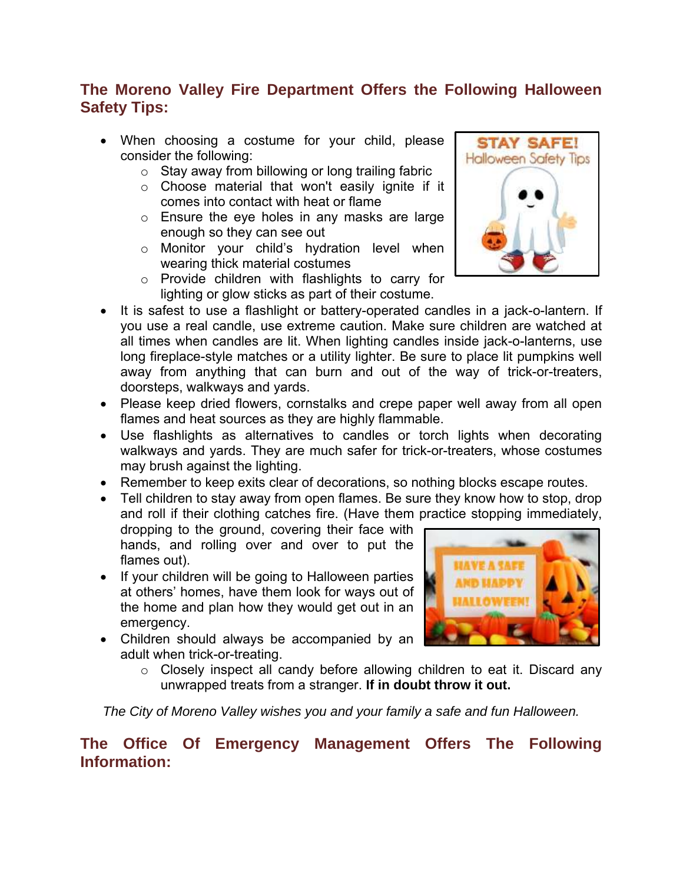## **The Moreno Valley Fire Department Offers the Following Halloween Safety Tips:**

- When choosing a costume for your child, please consider the following:
	- $\circ$  Stay away from billowing or long trailing fabric
	- o Choose material that won't easily ignite if it comes into contact with heat or flame
	- o Ensure the eye holes in any masks are large enough so they can see out
	- o Monitor your child's hydration level when wearing thick material costumes
	- o Provide children with flashlights to carry for lighting or glow sticks as part of their costume.
- It is safest to use a flashlight or battery-operated candles in a jack-o-lantern. If you use a real candle, use extreme caution. Make sure children are watched at all times when candles are lit. When lighting candles inside jack-o-lanterns, use long fireplace-style matches or a utility lighter. Be sure to place lit pumpkins well away from anything that can burn and out of the way of trick-or-treaters, doorsteps, walkways and yards.
- Please keep dried flowers, cornstalks and crepe paper well away from all open flames and heat sources as they are highly flammable.
- Use flashlights as alternatives to candles or torch lights when decorating walkways and yards. They are much safer for trick-or-treaters, whose costumes may brush against the lighting.
- Remember to keep exits clear of decorations, so nothing blocks escape routes.
- Tell children to stay away from open flames. Be sure they know how to stop, drop and roll if their clothing catches fire. (Have them practice stopping immediately, dropping to the ground, covering their face with

hands, and rolling over and over to put the flames out).

- If your children will be going to Halloween parties at others' homes, have them look for ways out of the home and plan how they would get out in an emergency.
- Children should always be accompanied by an adult when trick-or-treating.



 $\circ$  Closely inspect all candy before allowing children to eat it. Discard any unwrapped treats from a stranger. **If in doubt throw it out.**

*The City of Moreno Valley wishes you and your family a safe and fun Halloween.* 

## **The Office Of Emergency Management Offers The Following Information:**

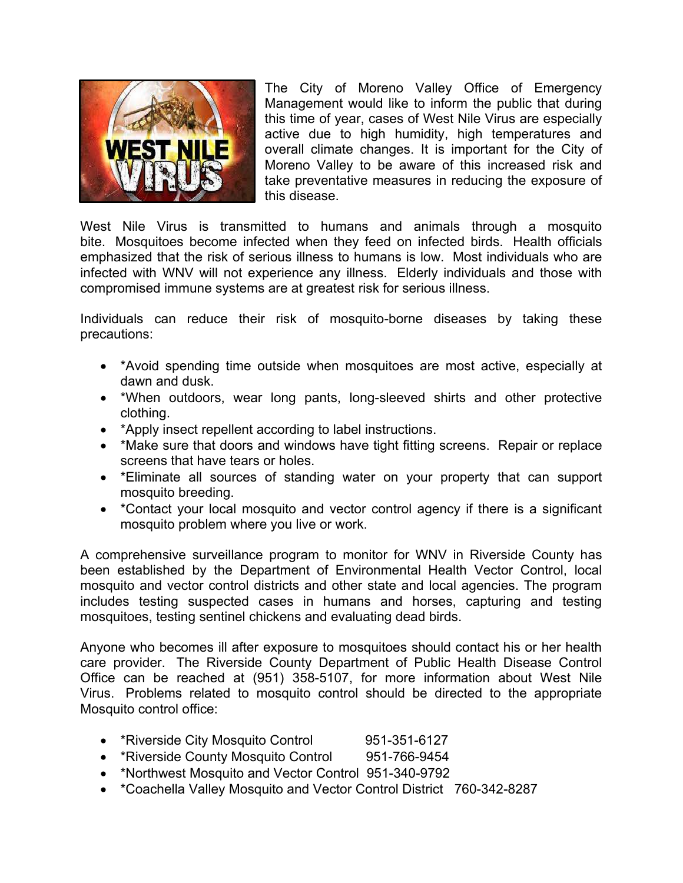

The City of Moreno Valley Office of Emergency Management would like to inform the public that during this time of year, cases of West Nile Virus are especially active due to high humidity, high temperatures and overall climate changes. It is important for the City of Moreno Valley to be aware of this increased risk and take preventative measures in reducing the exposure of this disease.

West Nile Virus is transmitted to humans and animals through a mosquito bite. Mosquitoes become infected when they feed on infected birds. Health officials emphasized that the risk of serious illness to humans is low. Most individuals who are infected with WNV will not experience any illness. Elderly individuals and those with compromised immune systems are at greatest risk for serious illness.

Individuals can reduce their risk of mosquito-borne diseases by taking these precautions:

- \*Avoid spending time outside when mosquitoes are most active, especially at dawn and dusk.
- \*When outdoors, wear long pants, long-sleeved shirts and other protective clothing.
- \*Apply insect repellent according to label instructions.
- \*Make sure that doors and windows have tight fitting screens. Repair or replace screens that have tears or holes.
- \*Eliminate all sources of standing water on your property that can support mosquito breeding.
- \*Contact your local mosquito and vector control agency if there is a significant mosquito problem where you live or work.

A comprehensive surveillance program to monitor for WNV in Riverside County has been established by the Department of Environmental Health Vector Control, local mosquito and vector control districts and other state and local agencies. The program includes testing suspected cases in humans and horses, capturing and testing mosquitoes, testing sentinel chickens and evaluating dead birds.

Anyone who becomes ill after exposure to mosquitoes should contact his or her health care provider. The Riverside County Department of Public Health Disease Control Office can be reached at (951) 358-5107, for more information about West Nile Virus. Problems related to mosquito control should be directed to the appropriate Mosquito control office:

- \*Riverside City Mosquito Control 951-351-6127
- \*Riverside County Mosquito Control 951-766-9454
- \*Northwest Mosquito and Vector Control 951-340-9792
- \*Coachella Valley Mosquito and Vector Control District 760-342-8287